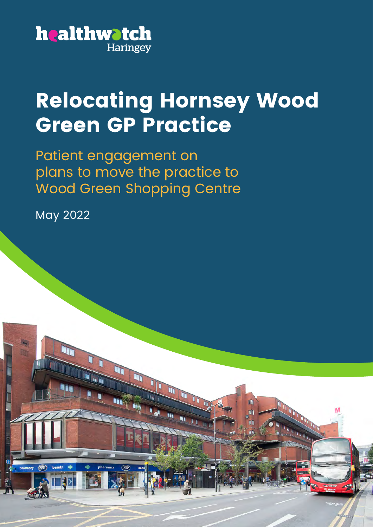

## **Relocating Hornsey Wood Green GP Practice**

1 Relocating Hornsey Wood Green GP Practice - Patient Engagement Report

Patient engagement on plans to move the practice to Wood Green Shopping Centre

m

面

May 2022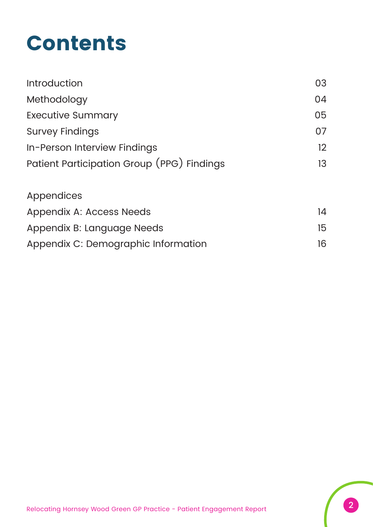## **Contents**

| <b>Introduction</b>                        | 03 |
|--------------------------------------------|----|
| Methodology                                | 04 |
| <b>Executive Summary</b>                   | 05 |
| <b>Survey Findings</b>                     | 07 |
| In-Person Interview Findings               | 12 |
| Patient Participation Group (PPG) Findings | 13 |
| <b>Appendices</b>                          |    |
| <b>Appendix A: Access Needs</b>            | 14 |
| Appendix B: Language Needs                 | 15 |
| Appendix C: Demographic Information        | 16 |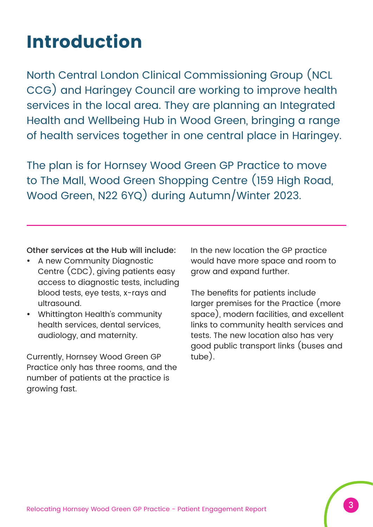## **Introduction**

North Central London Clinical Commissioning Group (NCL CCG) and Haringey Council are working to improve health services in the local area. They are planning an Integrated Health and Wellbeing Hub in Wood Green, bringing a range of health services together in one central place in Haringey.

The plan is for Hornsey Wood Green GP Practice to move to The Mall, Wood Green Shopping Centre (159 High Road, Wood Green, N22 6YQ) during Autumn/Winter 2023.

Other services at the Hub will include:

- A new Community Diagnostic Centre (CDC), giving patients easy access to diagnostic tests, including blood tests, eye tests, x-rays and ultrasound.
- Whittington Health's community health services, dental services, audiology, and maternity.

Currently, Hornsey Wood Green GP Practice only has three rooms, and the number of patients at the practice is growing fast.

In the new location the GP practice would have more space and room to grow and expand further.

The benefits for patients include larger premises for the Practice (more space), modern facilities, and excellent links to community health services and tests. The new location also has very good public transport links (buses and tube).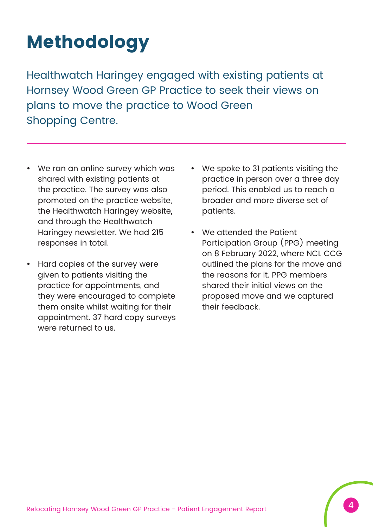## **Methodology**

Healthwatch Haringey engaged with existing patients at Hornsey Wood Green GP Practice to seek their views on plans to move the practice to Wood Green Shopping Centre.

- We ran an online survey which was shared with existing patients at the practice. The survey was also promoted on the practice website, the Healthwatch Haringey website, and through the Healthwatch Haringey newsletter. We had 215 responses in total.
- Hard copies of the survey were given to patients visiting the practice for appointments, and they were encouraged to complete them onsite whilst waiting for their appointment. 37 hard copy surveys were returned to us.
- We spoke to 31 patients visiting the practice in person over a three day period. This enabled us to reach a broader and more diverse set of patients.
- We attended the Patient Participation Group (PPG) meeting on 8 February 2022, where NCL CCG outlined the plans for the move and the reasons for it. PPG members shared their initial views on the proposed move and we captured their feedback.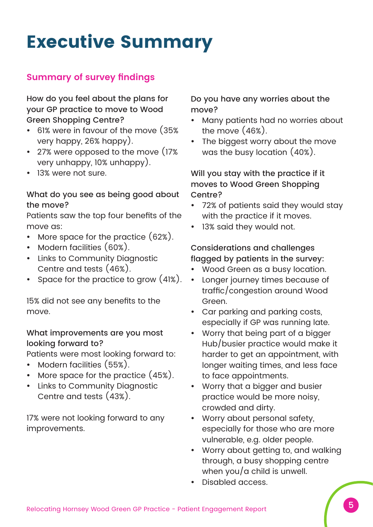## **Executive Summary**

### **Summary of survey findings**

How do you feel about the plans for your GP practice to move to Wood Green Shopping Centre?

- 61% were in favour of the move (35% very happy, 26% happy).
- 27% were opposed to the move (17%) very unhappy, 10% unhappy).
- 13% were not sure.

#### What do you see as being good about the move?

Patients saw the top four benefits of the move as:

- More space for the practice  $(62%)$ .
- Modern facilities (60%).
- Links to Community Diagnostic Centre and tests (46%).
- Space for the practice to grow  $(41%)$ .

15% did not see any benefits to the move.

#### What improvements are you most looking forward to?

Patients were most looking forward to:

- Modern facilities (55%).
- More space for the practice  $(45%)$ .
- Links to Community Diagnostic Centre and tests (43%).

17% were not looking forward to any improvements.

Do you have any worries about the move?

- Many patients had no worries about the move (46%).
- The biggest worry about the move was the busy location (40%).

Will you stay with the practice if it moves to Wood Green Shopping Centre?

- 72% of patients said they would stay with the practice if it moves.
- 13% said they would not.

#### Considerations and challenges flagged by patients in the survey:

- Wood Green as a busy location.
- Longer journey times because of traffic/congestion around Wood Green.
- Car parking and parking costs, especially if GP was running late.
- Worry that being part of a bigger Hub/busier practice would make it harder to get an appointment, with longer waiting times, and less face to face appointments.
- Worry that a bigger and busier practice would be more noisy, crowded and dirty.
- Worry about personal safety, especially for those who are more vulnerable, e.g. older people.
- Worry about getting to, and walking through, a busy shopping centre when you/a child is unwell.
- Disabled access.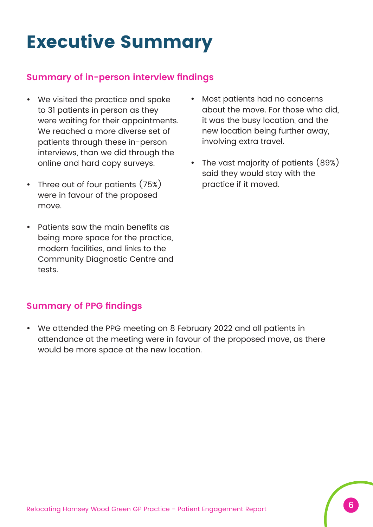## **Executive Summary**

#### **Summary of in-person interview findings**

- We visited the practice and spoke to 31 patients in person as they were waiting for their appointments. We reached a more diverse set of patients through these in-person interviews, than we did through the online and hard copy surveys.
- Three out of four patients  $(75%)$ were in favour of the proposed move.
- Patients saw the main benefits as being more space for the practice, modern facilities, and links to the Community Diagnostic Centre and tests.
- Most patients had no concerns about the move. For those who did, it was the busy location, and the new location being further away, involving extra travel.
- The vast majority of patients  $(89%)$ said they would stay with the practice if it moved.

#### **Summary of PPG findings**

• We attended the PPG meeting on 8 February 2022 and all patients in attendance at the meeting were in favour of the proposed move, as there would be more space at the new location.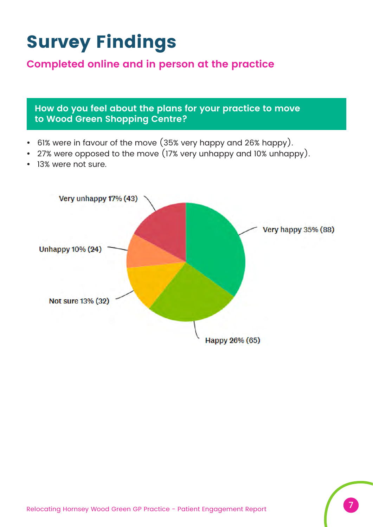## **Survey Findings**

### **Completed online and in person at the practice**

**How do you feel about the plans for your practice to move to Wood Green Shopping Centre?**

- 61% were in favour of the move (35% very happy and 26% happy).
- 27% were opposed to the move (17% very unhappy and 10% unhappy).
- 13% were not sure.

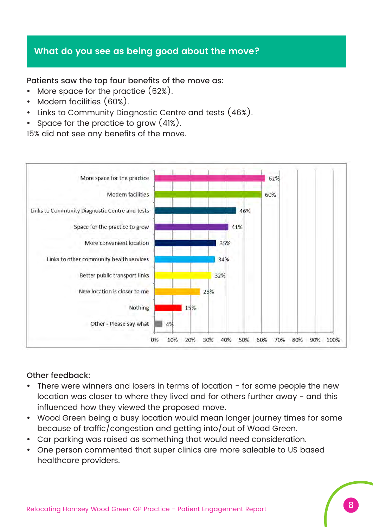#### **What do you see as being good about the move?**

Patients saw the top four benefits of the move as:

- More space for the practice  $(62%)$ .
- Modern facilities (60%).
- Links to Community Diagnostic Centre and tests (46%).
- Space for the practice to grow  $(41%)$ .

15% did not see any benefits of the move.



#### Other feedback:

- There were winners and losers in terms of location for some people the new location was closer to where they lived and for others further away - and this influenced how they viewed the proposed move.
- Wood Green being a busy location would mean longer journey times for some because of traffic/congestion and getting into/out of Wood Green.
- Car parking was raised as something that would need consideration.
- One person commented that super clinics are more saleable to US based healthcare providers.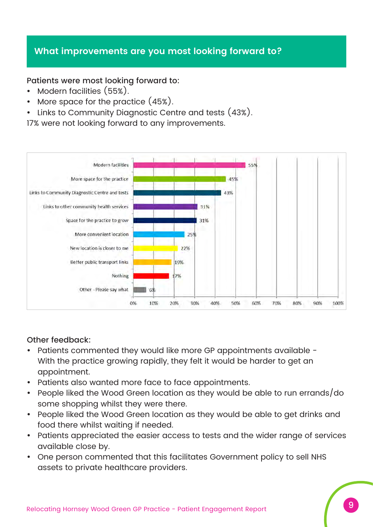#### **What improvements are you most looking forward to?**

Patients were most looking forward to:

- Modern facilities (55%).
- More space for the practice  $(45%)$ .
- Links to Community Diagnostic Centre and tests (43%).

17% were not looking forward to any improvements.



#### Other feedback:

- Patients commented they would like more GP appointments available -With the practice growing rapidly, they felt it would be harder to get an appointment.
- Patients also wanted more face to face appointments.
- People liked the Wood Green location as they would be able to run errands/do some shopping whilst they were there.
- People liked the Wood Green location as they would be able to get drinks and food there whilst waiting if needed.
- Patients appreciated the easier access to tests and the wider range of services available close by.
- One person commented that this facilitates Government policy to sell NHS assets to private healthcare providers.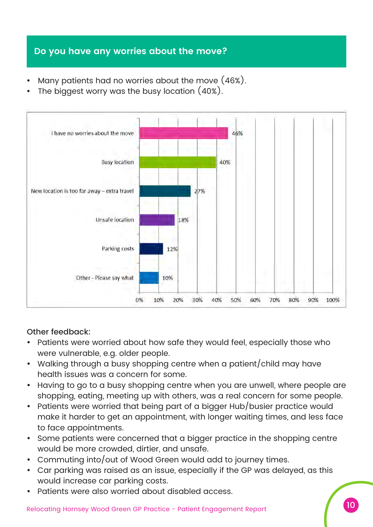### **Do you have any worries about the move?**

- Many patients had no worries about the move  $(46%)$ .
- The biggest worry was the busy location  $(40\%)$ .



#### Other feedback:

- Patients were worried about how safe they would feel, especially those who were vulnerable, e.g. older people.
- Walking through a busy shopping centre when a patient/child may have health issues was a concern for some.
- Having to go to a busy shopping centre when you are unwell, where people are shopping, eating, meeting up with others, was a real concern for some people.
- Patients were worried that being part of a bigger Hub/busier practice would make it harder to get an appointment, with longer waiting times, and less face to face appointments.
- Some patients were concerned that a bigger practice in the shopping centre would be more crowded, dirtier, and unsafe.
- Commuting into/out of Wood Green would add to journey times.
- Car parking was raised as an issue, especially if the GP was delayed, as this would increase car parking costs.
- Patients were also worried about disabled access.

10 Relocating Hornsey Wood Green GP Practice - Patient Engagement Report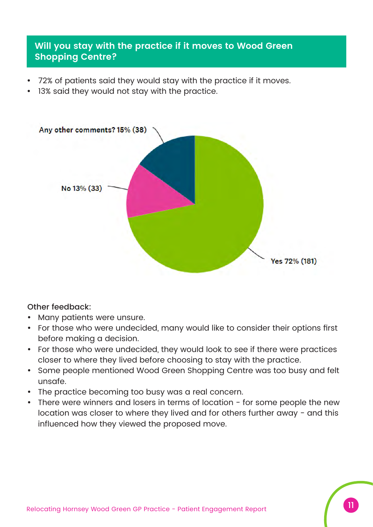#### **Will you stay with the practice if it moves to Wood Green Shopping Centre?**

- 72% of patients said they would stay with the practice if it moves.
- 13% said they would not stay with the practice.



#### Other feedback:

- Many patients were unsure.
- For those who were undecided, many would like to consider their options first before making a decision.
- For those who were undecided, they would look to see if there were practices closer to where they lived before choosing to stay with the practice.
- Some people mentioned Wood Green Shopping Centre was too busy and felt unsafe.
- The practice becoming too busy was a real concern.
- There were winners and losers in terms of location for some people the new location was closer to where they lived and for others further away - and this influenced how they viewed the proposed move.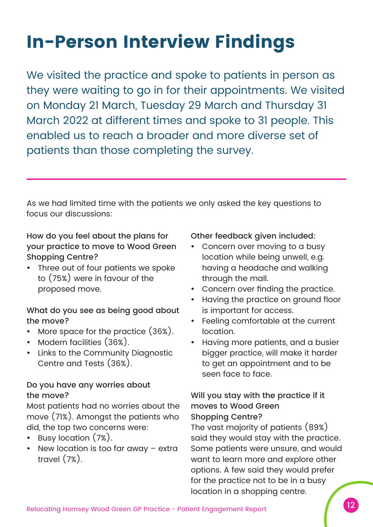## **In-Person Interview Findings**

We visited the practice and spoke to patients in person as they were waiting to go in for their appointments. We visited on Monday 21 March, Tuesday 29 March and Thursday 31 March 2022 at different times and spoke to 31 people. This enabled us to reach a broader and more diverse set of patients than those completing the survey.

As we had limited time with the patients we only asked the key questions to focus our discussions:

How do you feel about the plans for your practice to move to Wood Green Shopping Centre?

Three out of four patients we spoke to (75%) were in favour of the proposed move.

#### What do you see as being good about the move?

- More space for the practice  $(36%)$ .
- Modern facilities (36%).
- Links to the Community Diagnostic Centre and Tests (36%).

#### Do you have any worries about the move?

Most patients had no worries about the move (71%). Amongst the patients who did, the top two concerns were:

- y Busy location (7%).
- New location is too far away extra travel (7%).

#### Other feedback given included:

- Concern over moving to a busy location while being unwell, e.g. having a headache and walking through the mall.
- Concern over finding the practice.
- Having the practice on ground floor is important for access.
- Feeling comfortable at the current location.
- Having more patients, and a busier bigger practice, will make it harder to get an appointment and to be seen face to face.

#### Will you stay with the practice if it moves to Wood Green Shopping Centre?

The vast majority of patients (89%) said they would stay with the practice. Some patients were unsure, and would want to learn more and explore other options. A few said they would prefer for the practice not to be in a busy location in a shopping centre.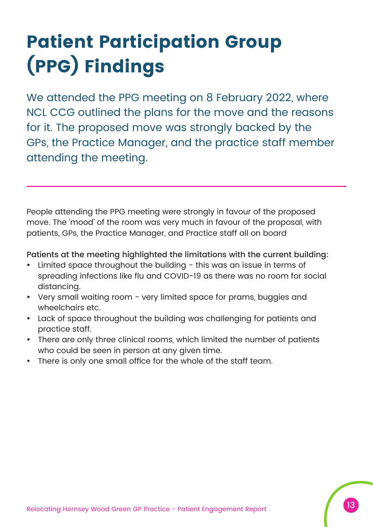# **Patient Participation Group (PPG) Findings**

We attended the PPG meeting on 8 February 2022, where NCL CCG outlined the plans for the move and the reasons for it. The proposed move was strongly backed by the GPs, the Practice Manager, and the practice staff member attending the meeting.

People attending the PPG meeting were strongly in favour of the proposed move. The 'mood' of the room was very much in favour of the proposal, with patients, GPs, the Practice Manager, and Practice staff all on board

#### Patients at the meeting highlighted the limitations with the current building:

- Limited space throughout the building  $-$  this was an issue in terms of spreading infections like flu and COVID-19 as there was no room for social distancing.
- Very small waiting room very limited space for prams, buggies and wheelchairs etc.
- Lack of space throughout the building was challenging for patients and practice staff.
- There are only three clinical rooms, which limited the number of patients who could be seen in person at any given time.
- There is only one small office for the whole of the staff team.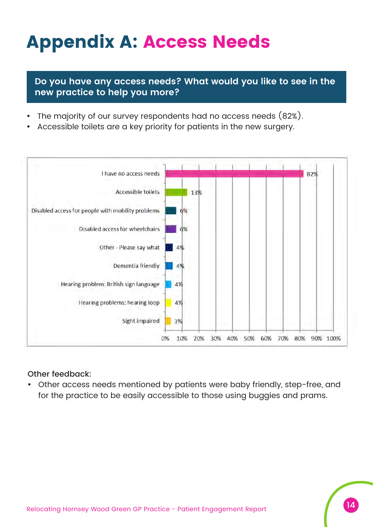## **Appendix A: Access Needs**

**Do you have any access needs? What would you like to see in the new practice to help you more?**

- The majority of our survey respondents had no access needs (82%).
- Accessible toilets are a key priority for patients in the new surgery.



#### Other feedback:

Other access needs mentioned by patients were baby friendly, step-free, and for the practice to be easily accessible to those using buggies and prams.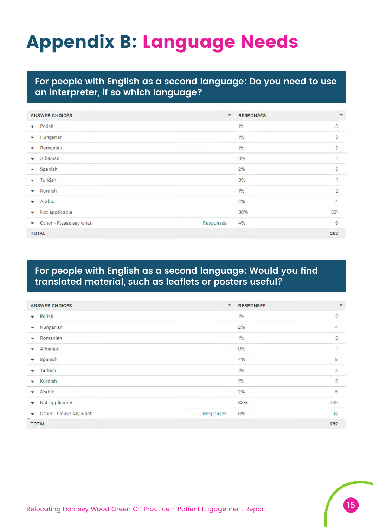## **Appendix B: Language Needs**

#### **For people with English as a second language: Do you need to use an interpreter, if so which language?**

| <b>ANSWER CHOICES</b>                | $\blacktriangledown$ | <b>RESPONSES</b> | ۰                         |
|--------------------------------------|----------------------|------------------|---------------------------|
| Polish<br>$\overline{\mathbf{v}}$    |                      | 1%               | 3                         |
| Hungarian<br>۰                       |                      | 1%               | $\mathbf{3}$              |
| Romanian<br>$\overline{\phantom{a}}$ |                      | 1%               | $\ensuremath{\mathsf{3}}$ |
| Albanian<br>$\overline{\phantom{a}}$ |                      | 0%               |                           |
| Spanish<br>÷                         |                      | 2%               | 5                         |
| Turkish<br>٠                         |                      | O%               | 1                         |
| Kurdish<br>۰                         |                      | 1%               | $\overline{2}$            |
| Arabic<br>۰                          |                      | 2%               | $\overline{4}$            |
| Not applicable<br>۰                  |                      | 88%              | 221                       |
| Other - Please say what<br>٠         | Responses            | 4%               | 9                         |
| <b>TOTAL</b>                         |                      |                  | 252                       |

#### **For people with English as a second language: Would you find translated material, such as leaflets or posters useful?**

| <b>ANSWER CHOICES</b>                        | ۰         | <b>RESPONSES</b> | $\mathbf{v}$   |
|----------------------------------------------|-----------|------------------|----------------|
| Polish<br>$\mathbf{v}$                       |           | 1%               | $\sqrt{2}$     |
| Hungarian<br>۰                               |           | 2%               | $\hat{4}$      |
| Romanian<br>۰                                |           | 1%               | $\overline{2}$ |
| Albanian<br>÷.                               |           | 0%               | 1              |
| Spanish<br>۰                                 |           | 4%               | $\mathsf{9}$   |
| Turkish<br>$\checkmark$                      |           | $1\%$            | 3              |
| Kurdish<br>$\cdot$                           |           | 1%<br>÷.         | $\overline{2}$ |
| Arabic<br>۰                                  |           | 2%               | 6              |
| Not applicable<br>۰                          |           | 83%              | 209            |
| Other - Please say what<br>×.<br>$\bullet$ . | Responses | 6%               | 14             |
| <b>TOTAL</b>                                 |           |                  | 252            |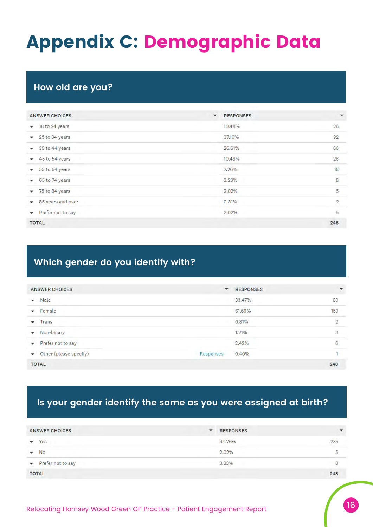## **Appendix C: Demographic Data**

### **How old are you?**

| <b>ANSWER CHOICES</b>             | <b>RESPONSES</b><br>$\blacktriangledown$ | $\mathbf{v}$   |
|-----------------------------------|------------------------------------------|----------------|
| 18 to 24 years<br>$\checkmark$    | 10.48%                                   | 26             |
| 25 to 34 years<br>$\mathbf{v}$    | 37.10%                                   | 92             |
| 35 to 44 years<br>$\mathbf{v}$    | 26.61%                                   | 66             |
| 45 to 54 years<br>۰               | 10.48%                                   | 26             |
| 55 to 64 years<br>۰               | 7.26%                                    | 18             |
| 65 to 74 years<br>$\mathbf{v}$    | 3.23%                                    | 8              |
| 75 to 84 years<br>۰               | 2.02%                                    | 5              |
| 85 years and over<br>$\mathbf{v}$ | 0.81%                                    | $\overline{2}$ |
| Prefer not to say<br>$\mathbf{v}$ | 2.02%                                    | 5              |
| <b>TOTAL</b>                      |                                          | 248            |

### **Which gender do you identify with?**

| <b>ANSWER CHOICES</b>                    | <b>RESPONSES</b><br>$\check{}$ | ٠              |
|------------------------------------------|--------------------------------|----------------|
| Male<br>$\overline{\phantom{a}}$         | 33.47%                         | 83             |
| Female<br>÷                              | 61.69%                         | 153            |
| Trans<br>$\cdot$                         | <b>STATISTICS</b><br>0.81%     | $\overline{2}$ |
| Non-binary<br>$\blacktriangledown$       | 1.21%                          | 3              |
| Prefer not to say<br>$\mathbf{v}$        | 2.42%                          | 6              |
| Other (please specify)<br>Responses<br>۰ | 0.40%                          |                |
| <b>TOTAL</b>                             |                                | 248            |

### **Is your gender identify the same as you were assigned at birth?**

| <b>ANSWER CHOICES</b>                        | ▼ | <b>RESPONSES</b>              | $\overline{\mathbf{v}}$ |
|----------------------------------------------|---|-------------------------------|-------------------------|
| Yes                                          |   | 94.76%                        | 235                     |
| No<br>$\mathbf{v}$                           |   | <u>e de la compa</u><br>2.02% | 5                       |
| Prefer not to say<br>$\overline{\mathbf{v}}$ |   | 3.23%                         | 8                       |
| <b>TOTAL</b>                                 |   |                               | 248                     |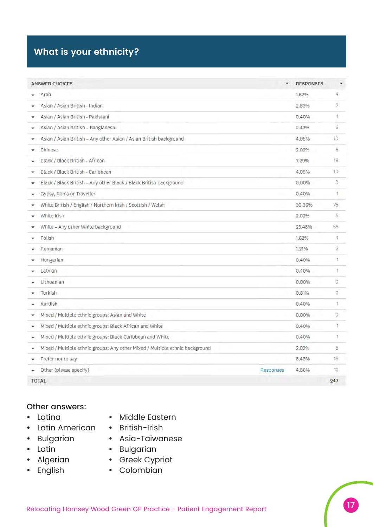## **What is your ethnicity?**

| <b>ANSWER CHOICES</b>                                                        | ۰         | <b>RESPONSES</b> | ۳              |
|------------------------------------------------------------------------------|-----------|------------------|----------------|
| Arab                                                                         |           | 1.62%            | 4              |
| Asian / Asian British - Indian                                               |           | 2.83%            | 7              |
| Asian / Asian British - Pakistani                                            |           | 0.40%            | 1              |
| Asian / Asian British - Bangladeshi<br>۰                                     |           | 2.43%            | 6              |
| Asian / Asian British - Any other Asian / Asian British background           |           | 4.05%            | 10             |
| Chinese                                                                      |           | 2.02%            | 5              |
| Black / Black British - African                                              |           | 7.29%            | 18             |
| Black / Black British - Caribbean<br>۰                                       |           | 4.05%            | 10             |
| Black / Black British - Any other Black / Black British background           |           | 0.00%            | $\circ$        |
| Gypsy, Roma or Traveller                                                     |           | 0.40%            | 1              |
| White British / English / Northern Irish / Scottish / Welsh<br>٠             |           | 30.36%           | 75             |
| White Irish                                                                  |           | 2.02%            | 5              |
| White - Any other White background                                           |           | 23.48%           | 58             |
| Polish                                                                       |           | 1.62%            | 4              |
| Romanian                                                                     |           | 1.21%            | 3              |
| Hungarian                                                                    |           | 0.40%            | 1              |
| Latvian                                                                      |           | 0.40%            | 1              |
| Lithuanian                                                                   |           | 0.00%            | $\circ$        |
| Turkish                                                                      |           | 0.81%            | $\overline{2}$ |
| Kurdish                                                                      |           | 0.40%            | ٦              |
| Mixed / Multiple ethnic groups: Asian and White<br>۰                         |           | 0.00%            | $\circ$        |
| Mixed / Multiple ethnic groups: Black African and White<br>۰                 |           | 0.40%            | 1              |
| Mixed / Multiple ethnic groups: Black Caribbean and White<br>۰               |           | 0.40%            | $\mathbf{1}$   |
| Mixed / Multiple ethnic groups: Any other Mixed / Multiple ethnic background |           | 2.02%            | 5              |
| Prefer not to say                                                            |           | 6.48%            | 16             |
| Other (please specify)                                                       | Responses | 4.86%            | 12             |
| <b>TOTAL</b>                                                                 |           |                  | 247            |

#### Other answers:

- Latina
- Latin American British-Irish
- 
- Latin
	-
- Algerian • English
- Middle Eastern
- 
- Bulgarian Asia-Taiwanese
	- · Bulgarian
	- Greek Cypriot
		- Colombian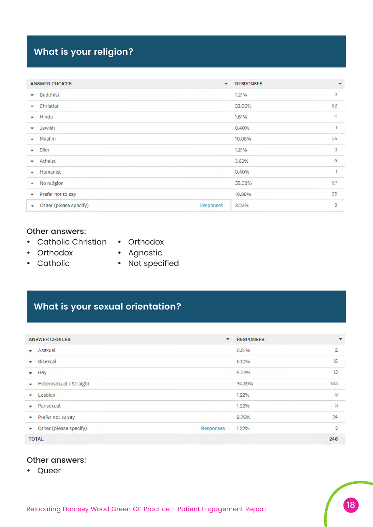### **What is your religion?**

| <b>ANSWER CHOICES</b>                   | $\mathbf{v}$ | <b>RESPONSES</b> | ۰              |
|-----------------------------------------|--------------|------------------|----------------|
| <b>Buddhist</b><br>۰                    |              | 1.21%            | 3              |
| Christian<br>۰                          |              | 33.06%           | 82             |
| Hindu<br>$\checkmark$                   |              | 1.61%            | 4              |
| Jewish<br>$\checkmark$                  |              | 0.40%            | 1              |
| Muslim<br>۰                             |              | 10.08%           | 25             |
| Sikh<br>۰                               |              | 1.21%            | 3              |
| Atheist<br>۰                            |              | 3.63%            | $\overline{9}$ |
| Humanist<br>۰                           |              | 0.40%            | 1              |
| No religion<br>$\overline{\phantom{a}}$ |              | 35.08%           | 87             |
| Prefer not to say<br>$\mathbf{v}$       |              | 10.08%           | 25             |
| Other (please specify)<br>v.            | Responses    | 3.23%            | 8              |

#### Other answers:

- Catholic Christian Orthodox
- Orthodox
- Catholic
- 
- Agnostic
- Not specified

### **What is your sexual orientation?**

| <b>ANSWER CHOICES</b>             | $\mathbf{v}$ | <b>RESPONSES</b> | $\overline{\phantom{a}}$  |
|-----------------------------------|--------------|------------------|---------------------------|
| Asexual                           |              | 0.81%            | $\overline{2}$            |
| <b>Bisexual</b>                   |              | 6.10%            | 15                        |
| Gay<br>$\cdot$                    |              | 5.28%            | 13                        |
| Heterosexual / Straight<br>۰      |              | 74.39%           | 183                       |
| Lesbian<br>۰                      |              | 1.22%            | 3                         |
| Pansexual<br>۰                    |              | 1.22%            | $\ensuremath{\mathsf{3}}$ |
| Prefer not to say<br>۰            |              | 9.76%            | 24                        |
| Other (please specify)<br>$\star$ | Responses    | 1.22%            | 3                         |
| <b>TOTAL</b>                      |              |                  | 246                       |

#### Other answers:

• Queer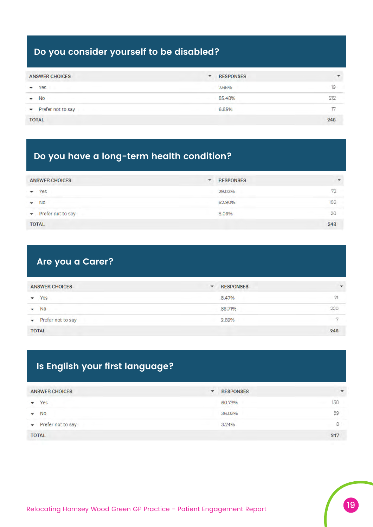### **Do you consider yourself to be disabled?**

| <b>ANSWER CHOICES</b>                       | ۰ | <b>RESPONSES</b>                    | $\overline{\phantom{a}}$ |
|---------------------------------------------|---|-------------------------------------|--------------------------|
| Yes<br>۰                                    |   | 7.66%                               | 19                       |
| ٠<br>No                                     |   | 85.48%                              | 212                      |
| <b>CONTRACTOR</b><br>Prefer not to say<br>۰ |   | 6.85%<br>the company of the company |                          |
| <b>TOTAL</b>                                |   |                                     | 248                      |

### **Do you have a long-term health condition?**

| <b>ANSWER CHOICES</b>                      | ۰. | <b>RESPONSES</b> | ٠   |
|--------------------------------------------|----|------------------|-----|
| Yes                                        |    | 29.03%           | 72  |
| <b>No</b><br>÷.                            |    | 62.90%           | 156 |
| Prefer not to say<br>$\check{\phantom{a}}$ |    | 8.06%            | 20  |
| <b>TOTAL</b>                               |    |                  | 248 |

### **Are you a Carer?**

| <b>ANSWER CHOICES</b>                 | ۰ | <b>RESPONSES</b>         | $\mathbf{v}$ |
|---------------------------------------|---|--------------------------|--------------|
| Yes                                   |   | 8.47%                    | 21           |
| <b>No</b><br>$\overline{\phantom{a}}$ |   | 88.71%                   | 220          |
| Prefer not to say<br>$\mathbf{v}$     |   | and the company<br>2.82% | m            |
| <b>TOTAL</b>                          |   |                          | 248          |

### **Is English your first language?**

| <b>ANSWER CHOICES</b>  | ۰ | <b>RESPONSES</b> | $\overline{\phantom{a}}$ |
|------------------------|---|------------------|--------------------------|
| Yes<br>۰               |   | 60.73%           | 150                      |
| <b>No</b><br>٠         |   | 36.03%           | 89                       |
| Prefer not to say<br>٠ |   | 3.24%            | 8                        |
| <b>TOTAL</b>           |   |                  | 247                      |